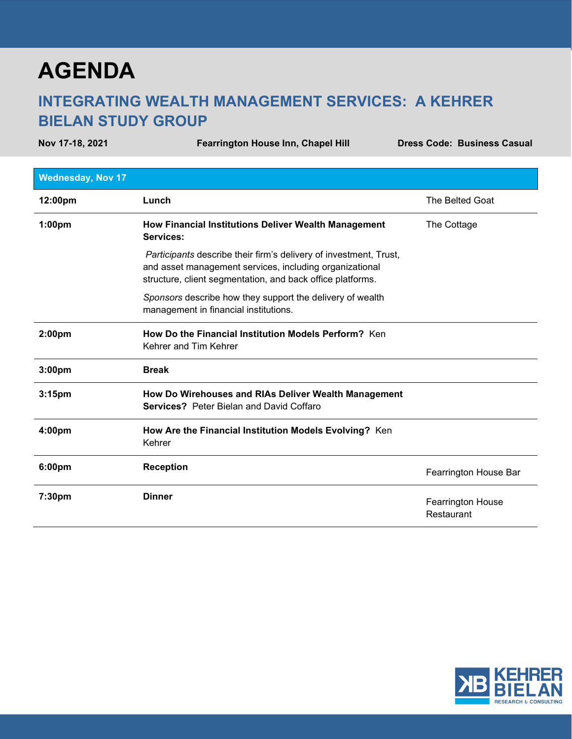# **AGENDA**

## **INTEGRATING WEALTH MANAGEMENT SERVICES: A KEHRER BIELAN STUDY GROUP**

**Nov 17-18, 2021 Fearrington House Inn, Chapel Hill Dress Code: Business Casual**

| <b>Wednesday, Nov 17</b> |                                                                                                                                                                                            |                                        |
|--------------------------|--------------------------------------------------------------------------------------------------------------------------------------------------------------------------------------------|----------------------------------------|
| 12:00pm                  | Lunch                                                                                                                                                                                      | The Belted Goat                        |
| 1:00 <sub>pm</sub>       | How Financial Institutions Deliver Wealth Management<br>Services:                                                                                                                          | The Cottage                            |
|                          | Participants describe their firm's delivery of investment, Trust,<br>and asset management services, including organizational<br>structure, client segmentation, and back office platforms. |                                        |
|                          | Sponsors describe how they support the delivery of wealth<br>management in financial institutions.                                                                                         |                                        |
| 2:00 <sub>pm</sub>       | How Do the Financial Institution Models Perform? Ken<br>Kehrer and Tim Kehrer                                                                                                              |                                        |
| 3:00pm                   | <b>Break</b>                                                                                                                                                                               |                                        |
| 3:15 <sub>pm</sub>       | How Do Wirehouses and RIAs Deliver Wealth Management<br><b>Services?</b> Peter Bielan and David Coffaro                                                                                    |                                        |
| 4:00pm                   | How Are the Financial Institution Models Evolving? Ken<br>Kehrer                                                                                                                           |                                        |
| 6:00pm                   | <b>Reception</b>                                                                                                                                                                           | Fearrington House Bar                  |
| 7:30pm                   | <b>Dinner</b>                                                                                                                                                                              | <b>Fearrington House</b><br>Restaurant |